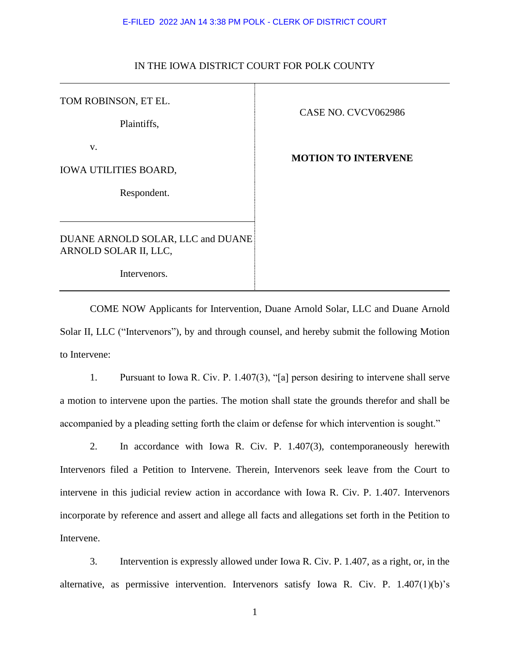## E-FILED 2022 JAN 14 3:38 PM POLK - CLERK OF DISTRICT COURT

## IN THE IOWA DISTRICT COURT FOR POLK COUNTY

TOM ROBINSON, ET EL.

Plaintiffs,

v.

IOWA UTILITIES BOARD,

Respondent.

DUANE ARNOLD SOLAR, LLC and DUANE ARNOLD SOLAR II, LLC,

Intervenors.

CASE NO. CVCV062986

**MOTION TO INTERVENE**

COME NOW Applicants for Intervention, Duane Arnold Solar, LLC and Duane Arnold Solar II, LLC ("Intervenors"), by and through counsel, and hereby submit the following Motion to Intervene:

1. Pursuant to Iowa R. Civ. P. 1.407(3), "[a] person desiring to intervene shall serve a motion to intervene upon the parties. The motion shall state the grounds therefor and shall be accompanied by a pleading setting forth the claim or defense for which intervention is sought."

2. In accordance with Iowa R. Civ. P. 1.407(3), contemporaneously herewith Intervenors filed a Petition to Intervene. Therein, Intervenors seek leave from the Court to intervene in this judicial review action in accordance with Iowa R. Civ. P. 1.407. Intervenors incorporate by reference and assert and allege all facts and allegations set forth in the Petition to Intervene.

3. Intervention is expressly allowed under Iowa R. Civ. P. 1.407, as a right, or, in the alternative, as permissive intervention. Intervenors satisfy Iowa R. Civ. P. 1.407(1)(b)'s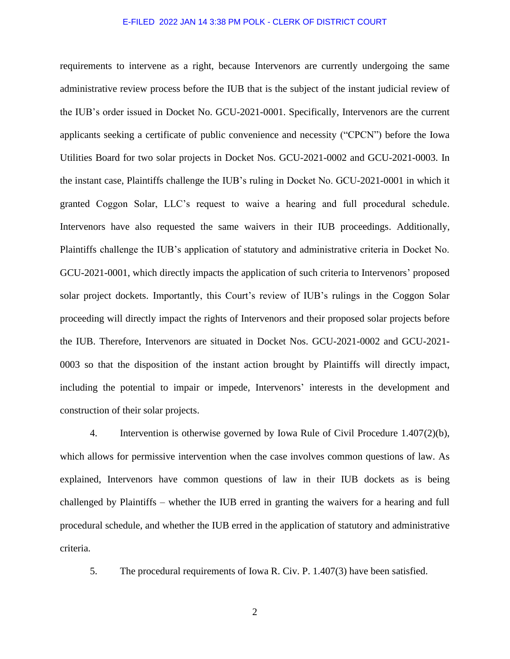## E-FILED 2022 JAN 14 3:38 PM POLK - CLERK OF DISTRICT COURT

requirements to intervene as a right, because Intervenors are currently undergoing the same administrative review process before the IUB that is the subject of the instant judicial review of the IUB's order issued in Docket No. GCU-2021-0001. Specifically, Intervenors are the current applicants seeking a certificate of public convenience and necessity ("CPCN") before the Iowa Utilities Board for two solar projects in Docket Nos. GCU-2021-0002 and GCU-2021-0003. In the instant case, Plaintiffs challenge the IUB's ruling in Docket No. GCU-2021-0001 in which it granted Coggon Solar, LLC's request to waive a hearing and full procedural schedule. Intervenors have also requested the same waivers in their IUB proceedings. Additionally, Plaintiffs challenge the IUB's application of statutory and administrative criteria in Docket No. GCU-2021-0001, which directly impacts the application of such criteria to Intervenors' proposed solar project dockets. Importantly, this Court's review of IUB's rulings in the Coggon Solar proceeding will directly impact the rights of Intervenors and their proposed solar projects before the IUB. Therefore, Intervenors are situated in Docket Nos. GCU-2021-0002 and GCU-2021- 0003 so that the disposition of the instant action brought by Plaintiffs will directly impact, including the potential to impair or impede, Intervenors' interests in the development and construction of their solar projects.

4. Intervention is otherwise governed by Iowa Rule of Civil Procedure 1.407(2)(b), which allows for permissive intervention when the case involves common questions of law. As explained, Intervenors have common questions of law in their IUB dockets as is being challenged by Plaintiffs – whether the IUB erred in granting the waivers for a hearing and full procedural schedule, and whether the IUB erred in the application of statutory and administrative criteria.

5. The procedural requirements of Iowa R. Civ. P. 1.407(3) have been satisfied.

2